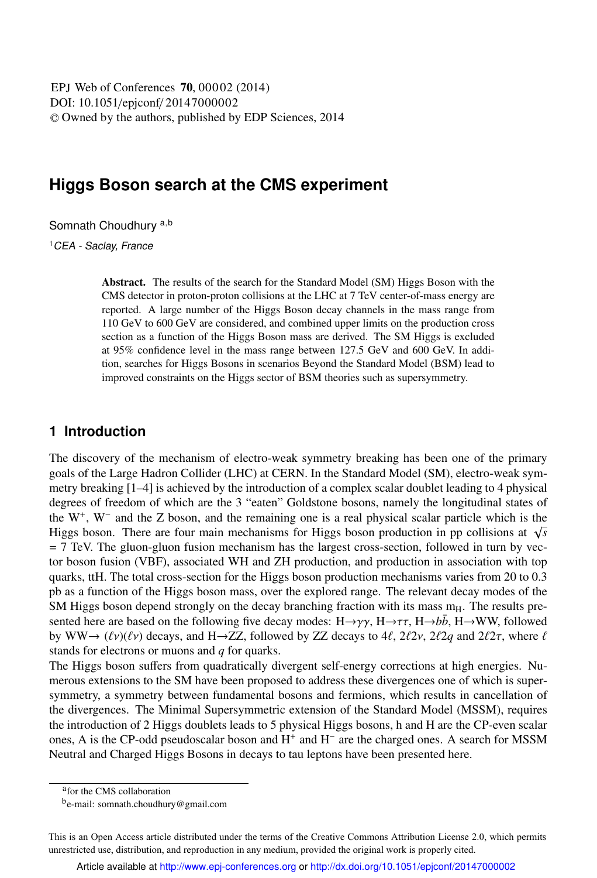DOI: 10.1051/epjconf/ 20147000002 -<sup>C</sup> Owned by the authors, published by EDP Sciences, 2014 EPJ Web of Conferences **70**, 00002 (2014)

# **Higgs Boson search at the CMS experiment**

Somnath Choudhury a,b

<sup>1</sup>CEA - Saclay, France

Abstract. The results of the search for the Standard Model (SM) Higgs Boson with the CMS detector in proton-proton collisions at the LHC at 7 TeV center-of-mass energy are reported. A large number of the Higgs Boson decay channels in the mass range from 110 GeV to 600 GeV are considered, and combined upper limits on the production cross section as a function of the Higgs Boson mass are derived. The SM Higgs is excluded at 95% confidence level in the mass range between 127.5 GeV and 600 GeV. In addition, searches for Higgs Bosons in scenarios Beyond the Standard Model (BSM) lead to improved constraints on the Higgs sector of BSM theories such as supersymmetry.

## **1 Introduction**

The discovery of the mechanism of electro-weak symmetry breaking has been one of the primary goals of the Large Hadron Collider (LHC) at CERN. In the Standard Model (SM), electro-weak symmetry breaking [1–4] is achieved by the introduction of a complex scalar doublet leading to 4 physical degrees of freedom of which are the 3 "eaten" Goldstone bosons, namely the longitudinal states of the W<sup>+</sup> , W<sup>−</sup> and the Z boson, and the remaining one is a real physical scalar particle which is the Higgs boson. There are four main mechanisms for Higgs boson production in pp collisions at  $\sqrt{s}$  $= 7$  TeV. The gluon-gluon fusion mechanism has the largest cross-section, followed in turn by vector boson fusion (VBF), associated WH and ZH production, and production in association with top quarks, ttH. The total cross-section for the Higgs boson production mechanisms varies from 20 to 0.3 pb as a function of the Higgs boson mass, over the explored range. The relevant decay modes of the SM Higgs boson depend strongly on the decay branching fraction with its mass  $m<sub>H</sub>$ . The results presented here are based on the following five decay modes:  $H\rightarrow \gamma\gamma$ ,  $H\rightarrow \tau\tau$ ,  $H\rightarrow b\bar{b}$ ,  $H\rightarrow WW$ , followed by WW $\rightarrow$  ( $\ell v$ )( $\ell v$ ) decays, and H $\rightarrow$ ZZ, followed by ZZ decays to 4 $\ell$ , 2 $\ell$ 2 $\ell$ , 2 $\ell$ 2 $q$  and 2 $\ell$ 2 $\tau$ , where  $\ell$ stands for electrons or muons and *q* for quarks.

The Higgs boson suffers from quadratically divergent self-energy corrections at high energies. Numerous extensions to the SM have been proposed to address these divergences one of which is supersymmetry, a symmetry between fundamental bosons and fermions, which results in cancellation of the divergences. The Minimal Supersymmetric extension of the Standard Model (MSSM), requires the introduction of 2 Higgs doublets leads to 5 physical Higgs bosons, h and H are the CP-even scalar ones, A is the CP-odd pseudoscalar boson and H<sup>+</sup> and H<sup>-</sup> are the charged ones. A search for MSSM Neutral and Charged Higgs Bosons in decays to tau leptons have been presented here.

a for the CMS collaboration

<sup>&</sup>lt;sup>b</sup>e-mail: somnath.choudhury@gmail.com

This is an Open Access article distributed under the terms of the Creative Commons Attribution License 2.0, which permits unrestricted use, distribution, and reproduction in any medium, provided the original work is properly cited.

Article available at http://www.epj-conferences.org or http://dx.doi.org/10.1051/epjconf/20147000002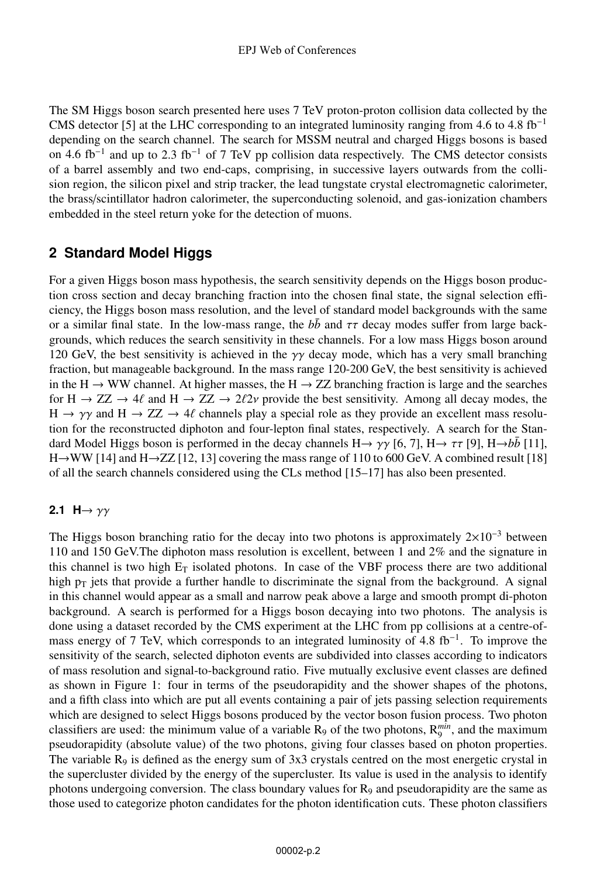The SM Higgs boson search presented here uses 7 TeV proton-proton collision data collected by the CMS detector [5] at the LHC corresponding to an integrated luminosity ranging from 4.6 to 4.8 fb<sup>-1</sup> depending on the search channel. The search for MSSM neutral and charged Higgs bosons is based on 4.6 fb<sup>-1</sup> and up to 2.3 fb<sup>-1</sup> of 7 TeV pp collision data respectively. The CMS detector consists of a barrel assembly and two end-caps, comprising, in successive layers outwards from the collision region, the silicon pixel and strip tracker, the lead tungstate crystal electromagnetic calorimeter, the brass/scintillator hadron calorimeter, the superconducting solenoid, and gas-ionization chambers embedded in the steel return yoke for the detection of muons.

# **2 Standard Model Higgs**

For a given Higgs boson mass hypothesis, the search sensitivity depends on the Higgs boson production cross section and decay branching fraction into the chosen final state, the signal selection efficiency, the Higgs boson mass resolution, and the level of standard model backgrounds with the same or a similar final state. In the low-mass range, the  $b\bar{b}$  and  $\tau\tau$  decay modes suffer from large backgrounds, which reduces the search sensitivity in these channels. For a low mass Higgs boson around 120 GeV, the best sensitivity is achieved in the  $\gamma\gamma$  decay mode, which has a very small branching fraction, but manageable background. In the mass range 120-200 GeV, the best sensitivity is achieved in the H  $\rightarrow$  WW channel. At higher masses, the H  $\rightarrow$  ZZ branching fraction is large and the searches for H  $\rightarrow ZZ \rightarrow 4\ell$  and H  $\rightarrow ZZ \rightarrow 2\ell 2\nu$  provide the best sensitivity. Among all decay modes, the  $H \to \gamma \gamma$  and  $H \to ZZ \to 4\ell$  channels play a special role as they provide an excellent mass resolution for the reconstructed diphoton and four-lepton final states, respectively. A search for the Standard Model Higgs boson is performed in the decay channels H $\rightarrow \gamma \gamma$  [6, 7], H $\rightarrow \tau \tau$  [9], H $\rightarrow b\bar{b}$  [11], H→WW [14] and H→ZZ [12, 13] covering the mass range of 110 to 600 GeV. A combined result [18] of all the search channels considered using the CLs method [15–17] has also been presented.

## **2.1**  $H \rightarrow \gamma \gamma$

The Higgs boson branching ratio for the decay into two photons is approximately  $2\times10^{-3}$  between 110 and 150 GeV.The diphoton mass resolution is excellent, between 1 and 2% and the signature in this channel is two high  $E_T$  isolated photons. In case of the VBF process there are two additional high  $p<sub>T</sub>$  jets that provide a further handle to discriminate the signal from the background. A signal in this channel would appear as a small and narrow peak above a large and smooth prompt di-photon background. A search is performed for a Higgs boson decaying into two photons. The analysis is done using a dataset recorded by the CMS experiment at the LHC from pp collisions at a centre-ofmass energy of 7 TeV, which corresponds to an integrated luminosity of 4.8 fb<sup>-1</sup>. To improve the sensitivity of the search, selected diphoton events are subdivided into classes according to indicators of mass resolution and signal-to-background ratio. Five mutually exclusive event classes are defined as shown in Figure 1: four in terms of the pseudorapidity and the shower shapes of the photons, and a fifth class into which are put all events containing a pair of jets passing selection requirements which are designed to select Higgs bosons produced by the vector boson fusion process. Two photon classifiers are used: the minimum value of a variable  $R_9$  of the two photons,  $R_9^{min}$ , and the maximum pseudorapidity (absolute value) of the two photons, giving four classes based on photon properties. The variable  $R_9$  is defined as the energy sum of  $3x3$  crystals centred on the most energetic crystal in the supercluster divided by the energy of the supercluster. Its value is used in the analysis to identify photons undergoing conversion. The class boundary values for  $R_9$  and pseudorapidity are the same as those used to categorize photon candidates for the photon identification cuts. These photon classifiers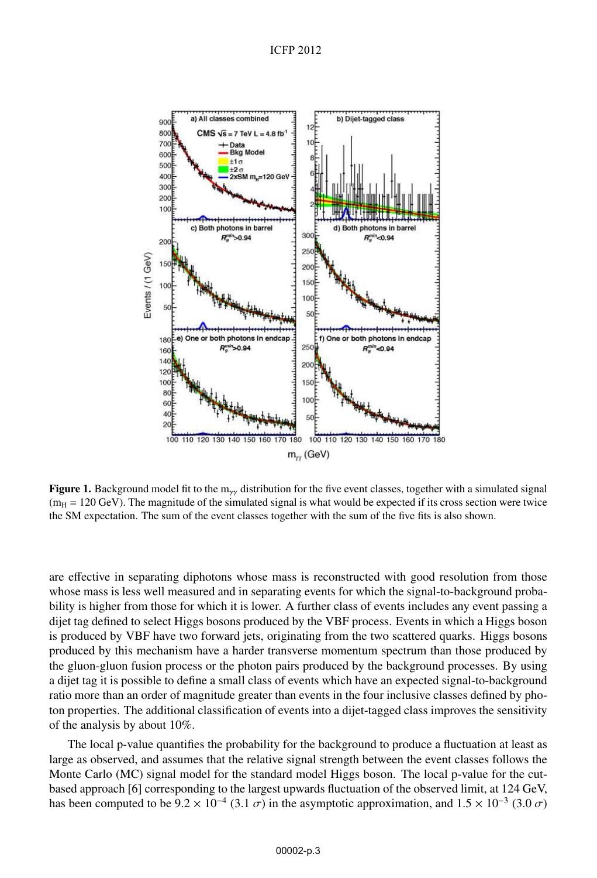

Figure 1. Background model fit to the m<sub>γγ</sub> distribution for the five event classes, together with a simulated signal  $(m_H = 120 \text{ GeV})$ . The magnitude of the simulated signal is what would be expected if its cross section were twice the SM expectation. The sum of the event classes together with the sum of the five fits is also shown.

are effective in separating diphotons whose mass is reconstructed with good resolution from those whose mass is less well measured and in separating events for which the signal-to-background probability is higher from those for which it is lower. A further class of events includes any event passing a dijet tag defined to select Higgs bosons produced by the VBF process. Events in which a Higgs boson is produced by VBF have two forward jets, originating from the two scattered quarks. Higgs bosons produced by this mechanism have a harder transverse momentum spectrum than those produced by the gluon-gluon fusion process or the photon pairs produced by the background processes. By using a dijet tag it is possible to define a small class of events which have an expected signal-to-background ratio more than an order of magnitude greater than events in the four inclusive classes defined by photon properties. The additional classification of events into a dijet-tagged class improves the sensitivity of the analysis by about 10%.

The local p-value quantifies the probability for the background to produce a fluctuation at least as large as observed, and assumes that the relative signal strength between the event classes follows the Monte Carlo (MC) signal model for the standard model Higgs boson. The local p-value for the cutbased approach [6] corresponding to the largest upwards fluctuation of the observed limit, at 124 GeV, has been computed to be  $9.2 \times 10^{-4}$  (3.1  $\sigma$ ) in the asymptotic approximation, and  $1.5 \times 10^{-3}$  (3.0  $\sigma$ )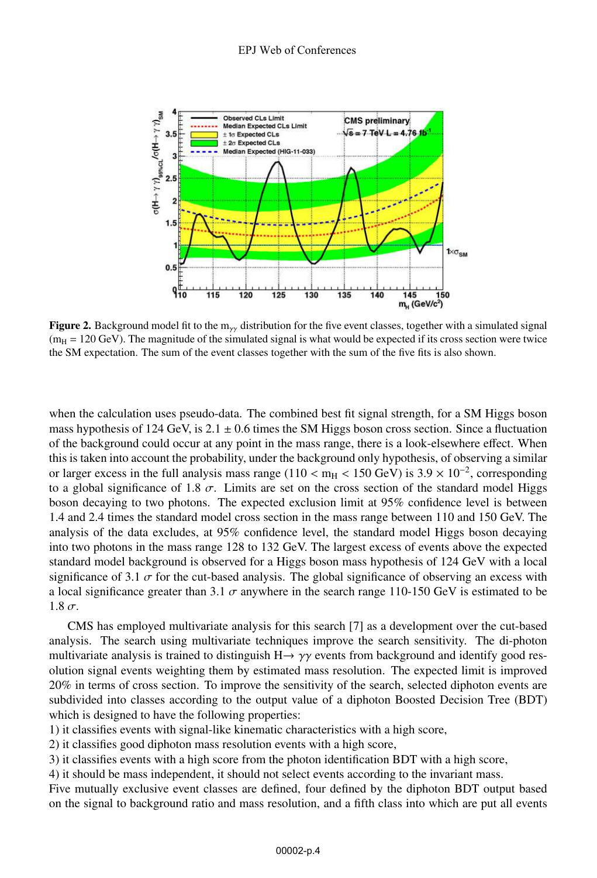

Figure 2. Background model fit to the m<sub>γγ</sub> distribution for the five event classes, together with a simulated signal  $(m_H = 120 \text{ GeV})$ . The magnitude of the simulated signal is what would be expected if its cross section were twice the SM expectation. The sum of the event classes together with the sum of the five fits is also shown.

when the calculation uses pseudo-data. The combined best fit signal strength, for a SM Higgs boson mass hypothesis of 124 GeV, is  $2.1 \pm 0.6$  times the SM Higgs boson cross section. Since a fluctuation of the background could occur at any point in the mass range, there is a look-elsewhere effect. When this is taken into account the probability, under the background only hypothesis, of observing a similar or larger excess in the full analysis mass range (110 < m<sub>H</sub> < 150 GeV) is  $3.9 \times 10^{-2}$ , corresponding to a global significance of 1.8  $\sigma$ . Limits are set on the cross section of the standard model Higgs boson decaying to two photons. The expected exclusion limit at 95% confidence level is between 1.4 and 2.4 times the standard model cross section in the mass range between 110 and 150 GeV. The analysis of the data excludes, at 95% confidence level, the standard model Higgs boson decaying into two photons in the mass range 128 to 132 GeV. The largest excess of events above the expected standard model background is observed for a Higgs boson mass hypothesis of 124 GeV with a local significance of 3.1  $\sigma$  for the cut-based analysis. The global significance of observing an excess with a local significance greater than 3.1  $\sigma$  anywhere in the search range 110-150 GeV is estimated to be  $1.8 \sigma$ .

CMS has employed multivariate analysis for this search [7] as a development over the cut-based analysis. The search using multivariate techniques improve the search sensitivity. The di-photon multivariate analysis is trained to distinguish  $H \rightarrow \gamma \gamma$  events from background and identify good resolution signal events weighting them by estimated mass resolution. The expected limit is improved 20% in terms of cross section. To improve the sensitivity of the search, selected diphoton events are subdivided into classes according to the output value of a diphoton Boosted Decision Tree (BDT) which is designed to have the following properties:

1) it classifies events with signal-like kinematic characteristics with a high score,

2) it classifies good diphoton mass resolution events with a high score,

3) it classifies events with a high score from the photon identification BDT with a high score,

4) it should be mass independent, it should not select events according to the invariant mass.

Five mutually exclusive event classes are defined, four defined by the diphoton BDT output based on the signal to background ratio and mass resolution, and a fifth class into which are put all events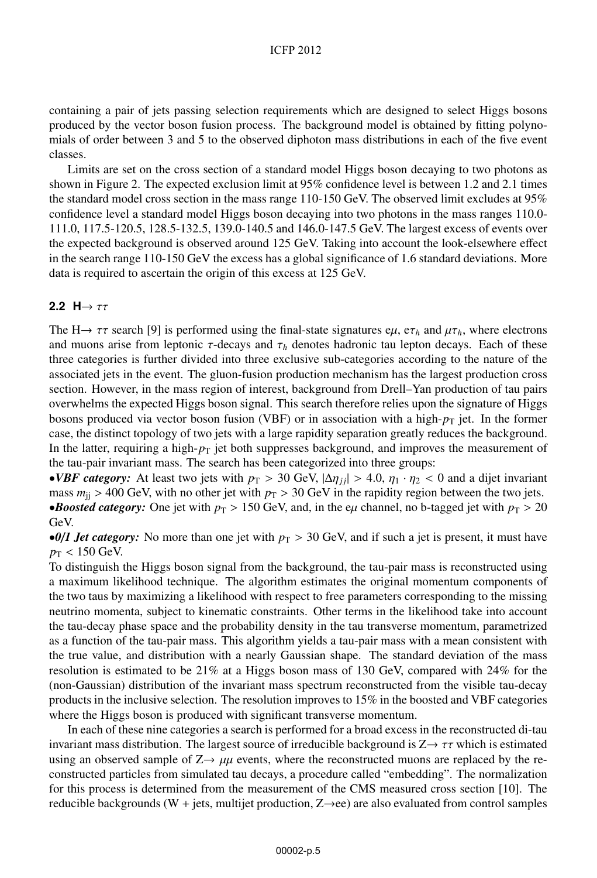#### ICFP 2012

containing a pair of jets passing selection requirements which are designed to select Higgs bosons produced by the vector boson fusion process. The background model is obtained by fitting polynomials of order between 3 and 5 to the observed diphoton mass distributions in each of the five event classes.

Limits are set on the cross section of a standard model Higgs boson decaying to two photons as shown in Figure 2. The expected exclusion limit at 95% confidence level is between 1.2 and 2.1 times the standard model cross section in the mass range 110-150 GeV. The observed limit excludes at 95% confidence level a standard model Higgs boson decaying into two photons in the mass ranges 110.0- 111.0, 117.5-120.5, 128.5-132.5, 139.0-140.5 and 146.0-147.5 GeV. The largest excess of events over the expected background is observed around 125 GeV. Taking into account the look-elsewhere effect in the search range 110-150 GeV the excess has a global significance of 1.6 standard deviations. More data is required to ascertain the origin of this excess at 125 GeV.

### 2.2  $H \rightarrow \tau \tau$

The H $\rightarrow \tau \tau$  search [9] is performed using the final-state signatures e $\mu$ , e $\tau_h$  and  $\mu \tau_h$ , where electrons and muons arise from leptonic  $\tau$ -decays and  $\tau_h$  denotes hadronic tau lepton decays. Each of these three categories is further divided into three exclusive sub-categories according to the nature of the associated jets in the event. The gluon-fusion production mechanism has the largest production cross section. However, in the mass region of interest, background from Drell–Yan production of tau pairs overwhelms the expected Higgs boson signal. This search therefore relies upon the signature of Higgs bosons produced via vector boson fusion (VBF) or in association with a high- $p<sub>T</sub>$  jet. In the former case, the distinct topology of two jets with a large rapidity separation greatly reduces the background. In the latter, requiring a high- $p<sub>T</sub>$  jet both suppresses background, and improves the measurement of the tau-pair invariant mass. The search has been categorized into three groups:

•*VBF category:* At least two jets with  $p_T > 30$  GeV,  $|\Delta \eta_{ij}| > 4.0$ ,  $\eta_1 \cdot \eta_2 < 0$  and a dijet invariant mass  $m_{ij} > 400 \text{ GeV}$ , with no other jet with  $p_T > 30 \text{ GeV}$  in the rapidity region between the two jets. •*Boosted category:* One jet with  $p_T > 150$  GeV, and, in the e $\mu$  channel, no b-tagged jet with  $p_T > 20$ GeV.

•*0/1 Jet category:* No more than one jet with  $p_T > 30$  GeV, and if such a jet is present, it must have  $p_T < 150$  GeV.

To distinguish the Higgs boson signal from the background, the tau-pair mass is reconstructed using a maximum likelihood technique. The algorithm estimates the original momentum components of the two taus by maximizing a likelihood with respect to free parameters corresponding to the missing neutrino momenta, subject to kinematic constraints. Other terms in the likelihood take into account the tau-decay phase space and the probability density in the tau transverse momentum, parametrized as a function of the tau-pair mass. This algorithm yields a tau-pair mass with a mean consistent with the true value, and distribution with a nearly Gaussian shape. The standard deviation of the mass resolution is estimated to be 21% at a Higgs boson mass of 130 GeV, compared with 24% for the (non-Gaussian) distribution of the invariant mass spectrum reconstructed from the visible tau-decay products in the inclusive selection. The resolution improves to 15% in the boosted and VBF categories where the Higgs boson is produced with significant transverse momentum.

In each of these nine categories a search is performed for a broad excess in the reconstructed di-tau invariant mass distribution. The largest source of irreducible background is  $Z \rightarrow \tau \tau$  which is estimated using an observed sample of  $Z \rightarrow \mu\mu$  events, where the reconstructed muons are replaced by the reconstructed particles from simulated tau decays, a procedure called "embedding". The normalization for this process is determined from the measurement of the CMS measured cross section [10]. The reducible backgrounds (W + jets, multijet production,  $Z \rightarrow ee$ ) are also evaluated from control samples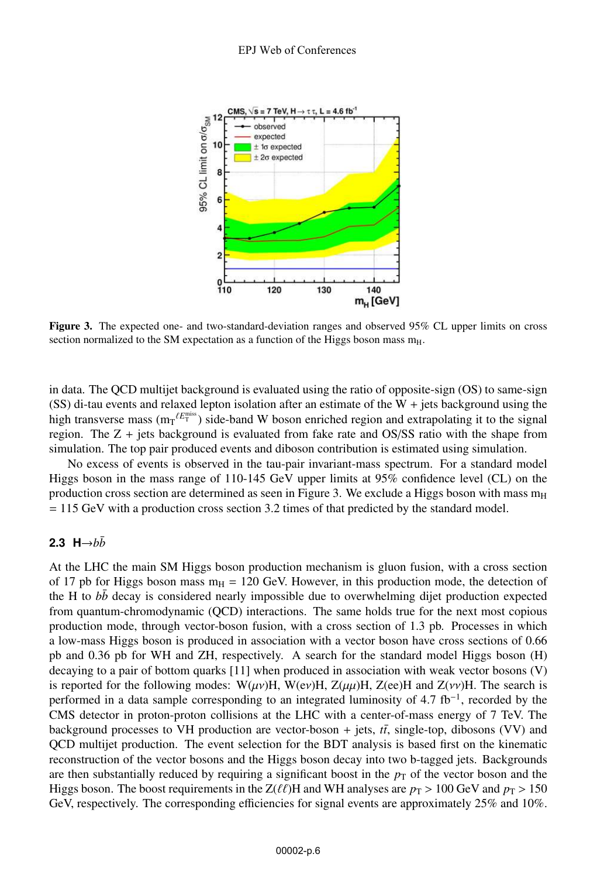

Figure 3. The expected one- and two-standard-deviation ranges and observed 95% CL upper limits on cross section normalized to the SM expectation as a function of the Higgs boson mass  $m_H$ .

in data. The QCD multijet background is evaluated using the ratio of opposite-sign (OS) to same-sign (SS) di-tau events and relaxed lepton isolation after an estimate of the W + jets background using the high transverse mass  $(m_T^{\ell E_T^{\text{miss}}})$  side-band W boson enriched region and extrapolating it to the signal region. The Z + jets background is evaluated from fake rate and OS/SS ratio with the shape from simulation. The top pair produced events and diboson contribution is estimated using simulation.

No excess of events is observed in the tau-pair invariant-mass spectrum. For a standard model Higgs boson in the mass range of 110-145 GeV upper limits at 95% confidence level (CL) on the production cross section are determined as seen in Figure 3. We exclude a Higgs boson with mass  $m_H$ = 115 GeV with a production cross section 3.2 times of that predicted by the standard model.

## 2.3 H $\rightarrow b\bar{b}$

At the LHC the main SM Higgs boson production mechanism is gluon fusion, with a cross section of 17 pb for Higgs boson mass  $m_H = 120$  GeV. However, in this production mode, the detection of the H to *bb* decay is considered nearly impossible due to overwhelming dijet production expected from quantum-chromodynamic (QCD) interactions. The same holds true for the next most copious production mode, through vector-boson fusion, with a cross section of 1.3 pb. Processes in which a low-mass Higgs boson is produced in association with a vector boson have cross sections of 0.66 pb and 0.36 pb for WH and ZH, respectively. A search for the standard model Higgs boson (H) decaying to a pair of bottom quarks [11] when produced in association with weak vector bosons (V) is reported for the following modes: W( $\mu\nu$ )H, W(ev)H, Z( $\mu\mu$ )H, Z(ee)H and Z( $\nu\nu$ )H. The search is performed in a data sample corresponding to an integrated luminosity of 4.7 fb<sup>-1</sup>, recorded by the CMS detector in proton-proton collisions at the LHC with a center-of-mass energy of 7 TeV. The background processes to VH production are vector-boson  $+$  jets,  $t\bar{t}$ , single-top, dibosons (VV) and QCD multijet production. The event selection for the BDT analysis is based first on the kinematic reconstruction of the vector bosons and the Higgs boson decay into two b-tagged jets. Backgrounds are then substantially reduced by requiring a significant boost in the  $p<sub>T</sub>$  of the vector boson and the Higgs boson. The boost requirements in the Z( $\ell\ell$ )H and WH analyses are  $p_T > 100$  GeV and  $p_T > 150$ GeV, respectively. The corresponding efficiencies for signal events are approximately 25% and 10%.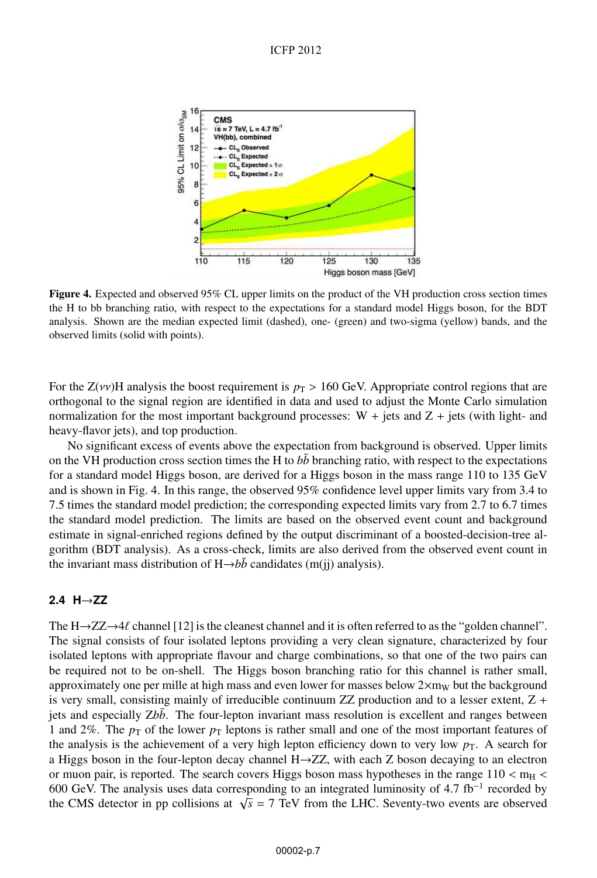

Figure 4. Expected and observed 95% CL upper limits on the product of the VH production cross section times the H to bb branching ratio, with respect to the expectations for a standard model Higgs boson, for the BDT analysis. Shown are the median expected limit (dashed), one- (green) and two-sigma (yellow) bands, and the observed limits (solid with points).

For the  $Z(\nu\nu)$ H analysis the boost requirement is  $p_T > 160$  GeV. Appropriate control regions that are orthogonal to the signal region are identified in data and used to adjust the Monte Carlo simulation normalization for the most important background processes:  $W + jets$  and  $Z + jets$  (with light- and heavy-flavor jets), and top production.

No significant excess of events above the expectation from background is observed. Upper limits on the VH production cross section times the H to  $b\bar{b}$  branching ratio, with respect to the expectations for a standard model Higgs boson, are derived for a Higgs boson in the mass range 110 to 135 GeV and is shown in Fig. 4. In this range, the observed 95% confidence level upper limits vary from 3.4 to 7.5 times the standard model prediction; the corresponding expected limits vary from 2.7 to 6.7 times the standard model prediction. The limits are based on the observed event count and background estimate in signal-enriched regions defined by the output discriminant of a boosted-decision-tree algorithm (BDT analysis). As a cross-check, limits are also derived from the observed event count in the invariant mass distribution of  $H\rightarrow b\bar{b}$  candidates (m(jj) analysis).

### **2.4 H**→**ZZ**

The  $H \rightarrow ZZ \rightarrow 4\ell$  channel [12] is the cleanest channel and it is often referred to as the "golden channel". The signal consists of four isolated leptons providing a very clean signature, characterized by four isolated leptons with appropriate flavour and charge combinations, so that one of the two pairs can be required not to be on-shell. The Higgs boson branching ratio for this channel is rather small, approximately one per mille at high mass and even lower for masses below  $2\times m_W$  but the background is very small, consisting mainly of irreducible continuum  $ZZ$  production and to a lesser extent,  $Z +$ jets and especially Zbb. The four-lepton invariant mass resolution is excellent and ranges between 1 and 2%. The  $p<sub>T</sub>$  of the lower  $p<sub>T</sub>$  leptons is rather small and one of the most important features of the analysis is the achievement of a very high lepton efficiency down to very low  $p<sub>T</sub>$ . A search for a Higgs boson in the four-lepton decay channel H→ZZ, with each Z boson decaying to an electron or muon pair, is reported. The search covers Higgs boson mass hypotheses in the range  $110 < m_H <$ 600 GeV. The analysis uses data corresponding to an integrated luminosity of 4.7 fb−<sup>1</sup> recorded by the CMS detector in pp collisions at  $\sqrt{s}$  = 7 TeV from the LHC. Seventy-two events are observed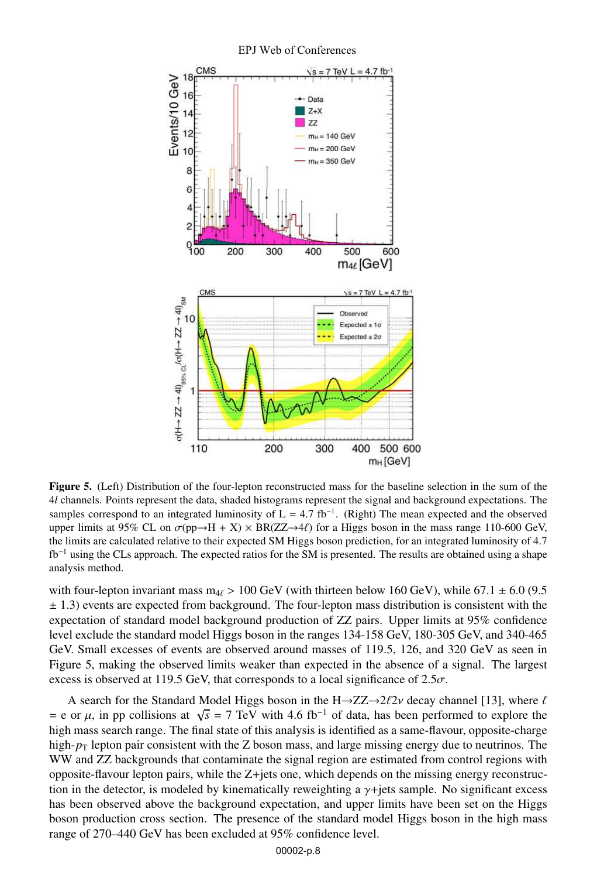

#### EPJ Web of Conferences

Figure 5. (Left) Distribution of the four-lepton reconstructed mass for the baseline selection in the sum of the 4*l* channels. Points represent the data, shaded histograms represent the signal and background expectations. The samples correspond to an integrated luminosity of  $L = 4.7$  fb<sup>-1</sup>. (Right) The mean expected and the observed upper limits at 95% CL on  $\sigma$ (pp $\rightarrow$ H + X) × BR(ZZ $\rightarrow$ 4 $\ell$ ) for a Higgs boson in the mass range 110-600 GeV, the limits are calculated relative to their expected SM Higgs boson prediction, for an integrated luminosity of 4.7 fb−<sup>1</sup> using the CLs approach. The expected ratios for the SM is presented. The results are obtained using a shape analysis method.

with four-lepton invariant mass  $m_{4}$  > 100 GeV (with thirteen below 160 GeV), while 67.1  $\pm$  6.0 (9.5)  $\pm$  1.3) events are expected from background. The four-lepton mass distribution is consistent with the expectation of standard model background production of ZZ pairs. Upper limits at 95% confidence level exclude the standard model Higgs boson in the ranges 134-158 GeV, 180-305 GeV, and 340-465 GeV. Small excesses of events are observed around masses of 119.5, 126, and 320 GeV as seen in Figure 5, making the observed limits weaker than expected in the absence of a signal. The largest excess is observed at 119.5 GeV, that corresponds to a local significance of  $2.5\sigma$ .

A search for the Standard Model Higgs boson in the H $\rightarrow$ ZZ $\rightarrow$ 2 $\ell$ 2 $\nu$  decay channel [13], where  $\ell$  $= e$  or  $\mu$ , in pp collisions at  $\sqrt{s} = 7$  TeV with 4.6 fb<sup>-1</sup> of data, has been performed to explore the high mass search range. The final state of this analysis is identified as a same-flavour, opposite-charge high- $p_T$  lepton pair consistent with the Z boson mass, and large missing energy due to neutrinos. The WW and ZZ backgrounds that contaminate the signal region are estimated from control regions with opposite-flavour lepton pairs, while the Z+jets one, which depends on the missing energy reconstruction in the detector, is modeled by kinematically reweighting a  $\gamma$ +jets sample. No significant excess has been observed above the background expectation, and upper limits have been set on the Higgs boson production cross section. The presence of the standard model Higgs boson in the high mass range of 270–440 GeV has been excluded at 95% confidence level.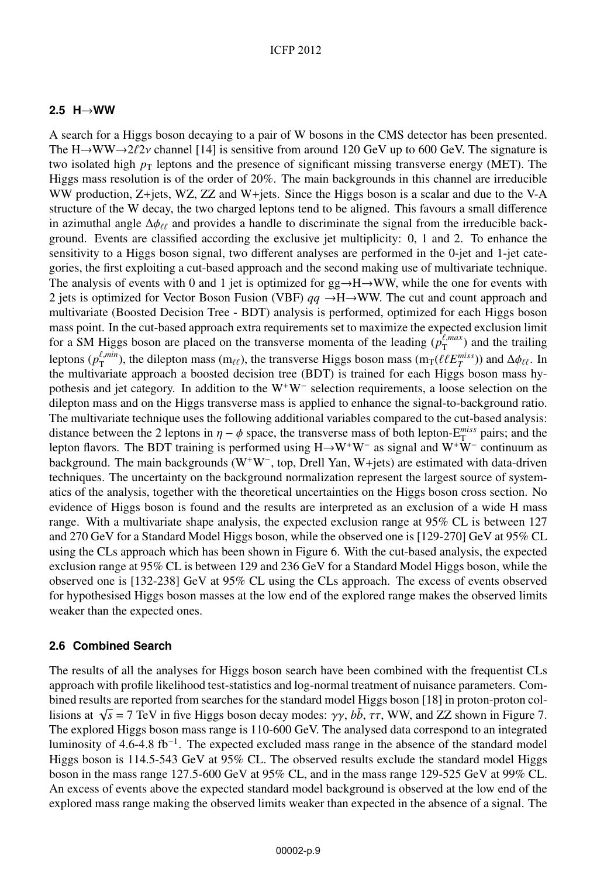### **2.5 H**→**WW**

A search for a Higgs boson decaying to a pair of W bosons in the CMS detector has been presented. The H $\rightarrow$ WW $\rightarrow$ 2 $\ell$ 2 $\nu$  channel [14] is sensitive from around 120 GeV up to 600 GeV. The signature is two isolated high  $p<sub>T</sub>$  leptons and the presence of significant missing transverse energy (MET). The Higgs mass resolution is of the order of 20%. The main backgrounds in this channel are irreducible WW production, Z+jets, WZ, ZZ and W+jets. Since the Higgs boson is a scalar and due to the V-A structure of the W decay, the two charged leptons tend to be aligned. This favours a small difference in azimuthal angle  $\Delta \phi_{\ell\ell}$  and provides a handle to discriminate the signal from the irreducible background. Events are classified according the exclusive jet multiplicity: 0, 1 and 2. To enhance the sensitivity to a Higgs boson signal, two different analyses are performed in the 0-jet and 1-jet categories, the first exploiting a cut-based approach and the second making use of multivariate technique. The analysis of events with 0 and 1 jet is optimized for  $gg \rightarrow H \rightarrow WW$ , while the one for events with 2 jets is optimized for Vector Boson Fusion (VBF) *qq* →H→WW. The cut and count approach and multivariate (Boosted Decision Tree - BDT) analysis is performed, optimized for each Higgs boson mass point. In the cut-based approach extra requirements set to maximize the expected exclusion limit for a SM Higgs boson are placed on the transverse momenta of the leading  $(p_T^{\ell, max})$  and the trailing leptons ( $p_T^{\ell,min}$ ), the dilepton mass (m<sub> $\ell\ell$ </sub>), the transverse Higgs boson mass (m<sub>T</sub>( $\ell\ell E_T^{miss}$ )) and  $\Delta\phi_{\ell\ell}$ . In the multivariate approach a boosted decision tree (BDT) is trained for each Higgs boson mass hypothesis and jet category. In addition to the W<sup>+</sup>W<sup>−</sup> selection requirements, a loose selection on the dilepton mass and on the Higgs transverse mass is applied to enhance the signal-to-background ratio. The multivariate technique uses the following additional variables compared to the cut-based analysis: distance between the 2 leptons in  $\eta - \phi$  space, the transverse mass of both lepton-E<sup>miss</sup> pairs; and the lepton flavors. The BDT training is performed using H→W<sup>+</sup>W<sup>−</sup> as signal and W<sup>+</sup>W<sup>−</sup> continuum as background. The main backgrounds (W<sup>+</sup>W<sup>−</sup> , top, Drell Yan, W+jets) are estimated with data-driven techniques. The uncertainty on the background normalization represent the largest source of systematics of the analysis, together with the theoretical uncertainties on the Higgs boson cross section. No evidence of Higgs boson is found and the results are interpreted as an exclusion of a wide H mass range. With a multivariate shape analysis, the expected exclusion range at 95% CL is between 127 and 270 GeV for a Standard Model Higgs boson, while the observed one is [129-270] GeV at 95% CL using the CLs approach which has been shown in Figure 6. With the cut-based analysis, the expected exclusion range at 95% CL is between 129 and 236 GeV for a Standard Model Higgs boson, while the observed one is [132-238] GeV at 95% CL using the CLs approach. The excess of events observed for hypothesised Higgs boson masses at the low end of the explored range makes the observed limits weaker than the expected ones.

### **2.6 Combined Search**

The results of all the analyses for Higgs boson search have been combined with the frequentist CLs approach with profile likelihood test-statistics and log-normal treatment of nuisance parameters. Combined results are reported from searches for the standard model Higgs boson [18] in proton-proton collisions at  $\sqrt{s} = 7$  TeV in five Higgs boson decay modes:  $\gamma\gamma$ ,  $b\bar{b}$ ,  $\tau\tau$ , WW, and ZZ shown in Figure 7. The explored Higgs boson mass range is 110-600 GeV. The analysed data correspond to an integrated luminosity of 4.6-4.8 fb<sup>-1</sup>. The expected excluded mass range in the absence of the standard model Higgs boson is 114.5-543 GeV at 95% CL. The observed results exclude the standard model Higgs boson in the mass range 127.5-600 GeV at 95% CL, and in the mass range 129-525 GeV at 99% CL. An excess of events above the expected standard model background is observed at the low end of the explored mass range making the observed limits weaker than expected in the absence of a signal. The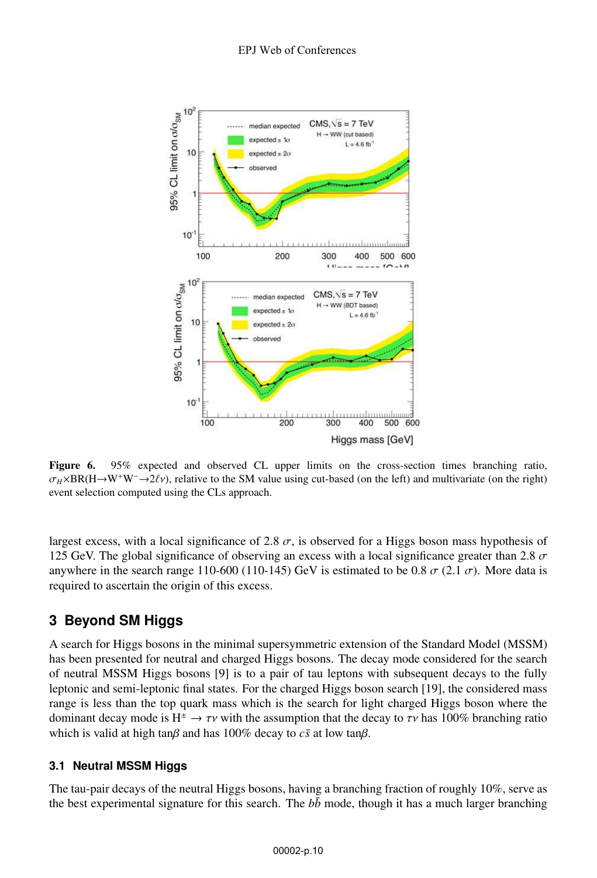

Figure 6. 95% expected and observed CL upper limits on the cross-section times branching ratio,  $\sigma_H \times BR(H \to W^+W^- \to 2\ell \nu)$ , relative to the SM value using cut-based (on the left) and multivariate (on the right) event selection computed using the CLs approach.

largest excess, with a local significance of 2.8  $\sigma$ , is observed for a Higgs boson mass hypothesis of 125 GeV. The global significance of observing an excess with a local significance greater than 2.8  $\sigma$ anywhere in the search range 110-600 (110-145) GeV is estimated to be 0.8  $\sigma$  (2.1  $\sigma$ ). More data is required to ascertain the origin of this excess.

# **3 Beyond SM Higgs**

A search for Higgs bosons in the minimal supersymmetric extension of the Standard Model (MSSM) has been presented for neutral and charged Higgs bosons. The decay mode considered for the search of neutral MSSM Higgs bosons [9] is to a pair of tau leptons with subsequent decays to the fully leptonic and semi-leptonic final states. For the charged Higgs boson search [19], the considered mass range is less than the top quark mass which is the search for light charged Higgs boson where the dominant decay mode is  $H^{\pm} \rightarrow \tau \nu$  with the assumption that the decay to  $\tau \nu$  has 100% branching ratio which is valid at high tan $\beta$  and has 100% decay to  $c\bar{s}$  at low tan $\beta$ .

## **3.1 Neutral MSSM Higgs**

The tau-pair decays of the neutral Higgs bosons, having a branching fraction of roughly 10%, serve as the best experimental signature for this search. The  $b\bar{b}$  mode, though it has a much larger branching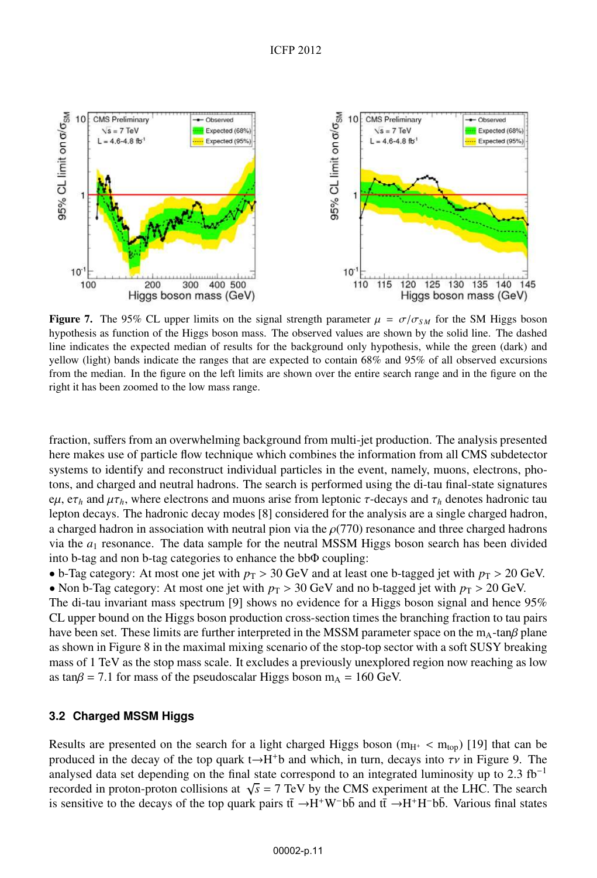

Figure 7. The 95% CL upper limits on the signal strength parameter  $\mu = \sigma/\sigma_{SM}$  for the SM Higgs boson hypothesis as function of the Higgs boson mass. The observed values are shown by the solid line. The dashed line indicates the expected median of results for the background only hypothesis, while the green (dark) and yellow (light) bands indicate the ranges that are expected to contain 68% and 95% of all observed excursions from the median. In the figure on the left limits are shown over the entire search range and in the figure on the right it has been zoomed to the low mass range.

fraction, suffers from an overwhelming background from multi-jet production. The analysis presented here makes use of particle flow technique which combines the information from all CMS subdetector systems to identify and reconstruct individual particles in the event, namely, muons, electrons, photons, and charged and neutral hadrons. The search is performed using the di-tau final-state signatures  $e\mu$ ,  $e\tau_h$  and  $\mu\tau_h$ , where electrons and muons arise from leptonic *τ*-decays and  $\tau_h$  denotes hadronic tau lepton decays. The hadronic decay modes [8] considered for the analysis are a single charged hadron, a charged hadron in association with neutral pion via the  $\rho(770)$  resonance and three charged hadrons via the  $a_1$  resonance. The data sample for the neutral MSSM Higgs boson search has been divided into b-tag and non b-tag categories to enhance the bbΦ coupling:

• b-Tag category: At most one jet with  $p_T > 30$  GeV and at least one b-tagged jet with  $p_T > 20$  GeV. • Non b-Tag category: At most one jet with  $p_T > 30$  GeV and no b-tagged jet with  $p_T > 20$  GeV.

The di-tau invariant mass spectrum [9] shows no evidence for a Higgs boson signal and hence 95% CL upper bound on the Higgs boson production cross-section times the branching fraction to tau pairs have been set. These limits are further interpreted in the MSSM parameter space on the  $m_A$ -tan $\beta$  plane as shown in Figure 8 in the maximal mixing scenario of the stop-top sector with a soft SUSY breaking mass of 1 TeV as the stop mass scale. It excludes a previously unexplored region now reaching as low as tan $\beta$  = 7.1 for mass of the pseudoscalar Higgs boson m<sub>A</sub> = 160 GeV.

### **3.2 Charged MSSM Higgs**

Results are presented on the search for a light charged Higgs boson ( $m_{H^{+}} < m_{top}$ ) [19] that can be produced in the decay of the top quark t $\rightarrow$ H<sup>+</sup>b and which, in turn, decays into  $\tau v$  in Figure 9. The analysed data set depending on the final state correspond to an integrated luminosity up to 2.3  $fb<sup>-1</sup>$ recorded in proton-proton collisions at  $\sqrt{s}$  = 7 TeV by the CMS experiment at the LHC. The search is sensitive to the decays of the top quark pairs  $t\bar{t} \to H^+W^-b\bar{b}$  and  $t\bar{t} \to H^+H^-b\bar{b}$ . Various final states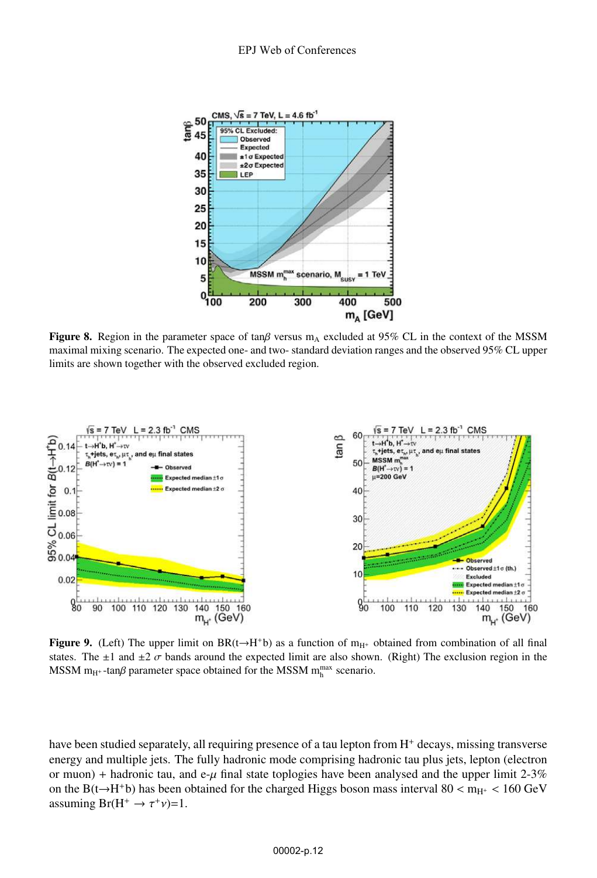

Figure 8. Region in the parameter space of tan $\beta$  versus m<sub>A</sub> excluded at 95% CL in the context of the MSSM maximal mixing scenario. The expected one- and two- standard deviation ranges and the observed 95% CL upper limits are shown together with the observed excluded region.



Figure 9. (Left) The upper limit on BR(t→H<sup>+</sup>b) as a function of m<sub>H<sup>+</sup></sub> obtained from combination of all final states. The  $\pm 1$  and  $\pm 2 \sigma$  bands around the expected limit are also shown. (Right) The exclusion region in the MSSM m<sub>H+</sub>-tan $\beta$  parameter space obtained for the MSSM m<sub>h</sub><sup>max</sup> scenario.

have been studied separately, all requiring presence of a tau lepton from  $H<sup>+</sup>$  decays, missing transverse energy and multiple jets. The fully hadronic mode comprising hadronic tau plus jets, lepton (electron or muon) + hadronic tau, and e- $\mu$  final state toplogies have been analysed and the upper limit 2-3% on the B(t $\rightarrow$ H<sup>+</sup>b) has been obtained for the charged Higgs boson mass interval 80 < m<sub>H<sup>+</sub></sup> < 160 GeV</sub> assuming  $Br(H^+ \rightarrow \tau^+\nu)=1$ .